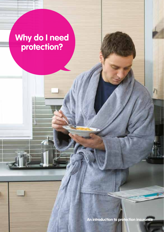## **Why do I need protection?**

**An introduction to protection insurance**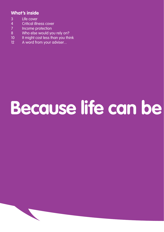## **What's inside**

- 3 Life cover<br>4 Critical illr
- 4 Critical illness cover<br>7 Income protection
- Income protection
- 8 Who else would you rely on?
- 10 It might cost less than you think<br>12 A word from your adviser...
- A word from your adviser...

# **Because life can be**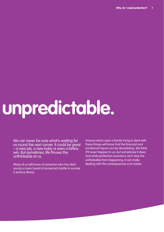# unpredictable.

We can never be sure what's waiting for us round the next corner. It could be great – a new job, a new baby or even a lottery win. But sometimes, life throws the unthinkable at us.

Many of us will know of someone who has died young or even heard of someone's battle to survive a serious illness.

Anyone who's seen a family trying to deal with these things will know that the financial and emotional impact can be devastating. We think it'll never happen to us, but sometimes it does. And while protection insurance can't stop the unthinkable from happening, it can make dealing with the consequences a lot easier.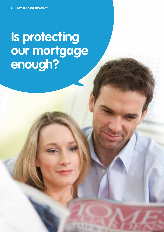## **Is protecting our mortgage enough?**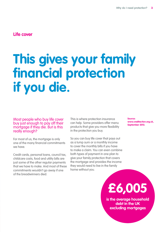## **Life cover**

## **This gives your family financial protection if you die.**

## Most people who buy life cover buy just enough to pay off their mortgage if they die. But is this really enough?

For most of us, the mortgage is only one of the many financial commitments we have.

Credit cards, personal loans, council tax, childcare costs, food and utility bills are just some of the other regular payments that we have to make. And most of these commitments wouldn't go away if one of the breadwinners died.

This is where protection insurance can help. Some providers offer menu products that give you more flexibility in the protection you buy.

So you can buy life cover that pays out as a lump sum or a monthly income to cover the monthly bills if you have to make a claim. You can even combine both types of payment in one plan to give your family protection that covers the mortgage and provides the income they would need to live in the family home without you.

**Source: www.creditaction.org.uk, September 2013.**

**£6,005**

**is the average household debt in the UK excluding mortgages**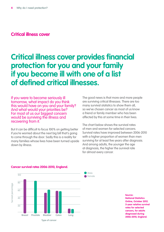## **Critical illness cover**

## **Critical illness cover provides financial protection for you and your family if you become ill with one of a list of defined critical illnesses.**

If you were to become seriously ill tomorrow, what impact do you think this would have on you and your family? And what would your priorities be? For most of us our biggest concern would be surviving the illness and recovering from it.

But it can be difficult to focus 100% on getting better if you're worried about the next big bill that's going to come through the door. Sadly this is a reality for many families whose lives have been turned upside down by illness.

The good news is that more and more people are surviving critical illnesses. There are too many survival statistics to show them all, so we've chosen cancer as most of us know a friend or family member who has been affected by this at some time in their lives.

The chart below shows the survival rates of men and women for selected cancers. Survival rates have improved between 2006-2010 with a higher proportion of women than men surviving for at least five years after diagnosis. And among adults, the younger the age at diagnosis, the higher the survival rate for almost every cancer.



### **Cancer survival rates 2006-2010, England.**

**Source: National Statistics Online, October 2012. 5-year relative survival rates for selected cancers, for adults diagnosed during 2006-2010, England.**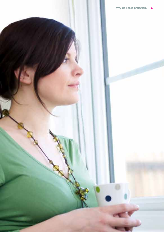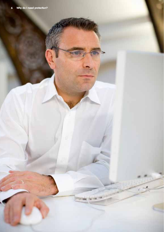**THE REAL** 

**COLOR** 

t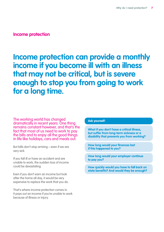## **Income protection**

**Income protection can provide a monthly income if you become ill with an illness that may not be critical, but is severe enough to stop you from going to work for a long time.**

**Ask yourself:** The working world has changed dramatically in recent years. One thing remains constant however, and that's the fact that most of us need to work to pay the bills and to enjoy all the good things in life like holidays, cars and meals out.

But bills don't stop arriving – even if we are very sick.

If you fall ill or have an accident and are unable to work, the sudden loss of income could be devastating.

Even if you don't earn an income but look after the home all day, it would be very expensive to replace the work that you do.

That's where income protection comes in. It pays out an income if you're unable to work because of illness or injury.

**What if you don't have a critical illness, but suffer from long-term sickness or a disability that prevents you from working?**

**How long would your finances last if this happened to you?**

**How long would your employer continue to pay you?**

**How quickly would you have to fall back on state benefits? And would they be enough?**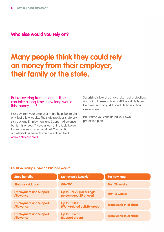**Who else would you rely on?**

## **Many people think they could rely on money from their employer, their family or the state.**

## But recovering from a serious illness can take a long time. How long would this money last?

Sick pay from your employer might help, but might only last a few weeks. The state provides statutory sick pay and Employment and Support Allowance, but is this enough? Have a look at the table below to see how much you could get. You can find out what other benefits you are entitled to at www.entitledto.co.uk

Surprisingly few of us have taken out protection. According to research, only 41% of adults have life cover. And only 14% of adults have critical illness cover.<sup>1</sup>

Isn't it time you considered your own protection plan?

### **Could you really survive on £86.70 a week?**

| <b>State benefits</b>                             | <b>Money paid (weekly)</b>                            | For how long          |
|---------------------------------------------------|-------------------------------------------------------|-----------------------|
| <b>Statutory sick pay</b>                         | $£86.70^2$                                            | <b>First 28 weeks</b> |
| <b>Employment and Support</b><br><b>Allowance</b> | Up to £71.70 (For a single<br>person aged 25 or over) | <b>First 13 weeks</b> |
| <b>Employment and Support</b><br><b>Allowance</b> | Up to £100.15<br>(Work-related activity group)        | From week 14 of claim |
| <b>Employment and Support</b><br><b>Allowance</b> | Up to £106.50<br>(Support group)                      | From week 14 of claim |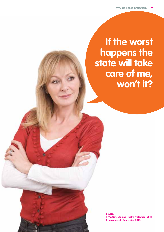**If the worst happens the state will take care of me, won't it?**

> **Sources: 1 YouGov, Life and Health Protection, 2012. 2 www.gov.uk, September 2013.**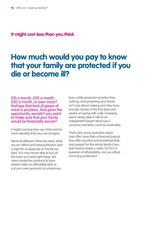**It might cost less than you think**

## **How much would you pay to know that your family are protected if you die or become ill?**

£10 a month, £20 a month, £50 a month, or even more? Perhaps that kind of peace of mind is priceless. And given the opportunity, wouldn't you want to make sure that your family would be financially secure?

It might cost less than you think and be more valuable than you can imagine.

We're all different. What we need, what we can afford and what protection plan is right for us depends on the life we lead. You may not be able to buy all the cover you need right away, but menu protection products let your adviser tailor an affordable plan to suit your own personal circumstances.

Even a little protection is better than nothing. And protecting your family isn't only about making sure they have enough money. In the first days and weeks of coping with a life-changing event, being able to talk to an independent expert about your concerns and fears could be invaluable.

That's why some protection plans now offer more than a financial payout, they offer practical and emotional help and support for the whole family if you ever have to make a claim. So if it's a question of affordability, can you afford not to buy protection?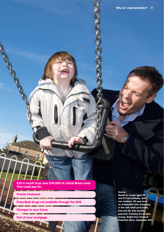**£20 a month buys over £44,000 of critical illness cover. That could pay for:**

**Private treatment**

**Prescribed drugs not available through the NHS**

**Changes to your home**

., **Part of your mortgage**

### **Source:**

**Based on couple aged 30 and 27 next birthday, both non-smokers. 20-year term on reviewable rates increasing in line with retail price index, £44,365.50, £20 monthly payment, including £2.60 plan charge. Bright Grey Personal Protection Menu, September 2013.**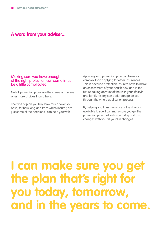## **A word from your adviser...**

## Making sure you have enough of the right protection can sometimes be a little complicated.

Not all protection plans are the same, and some offer more choices than others.

The type of plan you buy, how much cover you have, for how long and from which insurer, are just some of the decisions I can help you with.

Applying for a protection plan can be more complex than applying for other insurances. This is because protection insurers have to make an assessment of your health now and in the future, taking account of the risks your lifestyle and family history can add. I can guide you through the whole application process.

By helping you to make sense of the choices available to you, I can make sure you get the protection plan that suits you today and also changes with you as your life changes.

## **I can make sure you get the plan that's right for you today, tomorrow, and in the years to come.**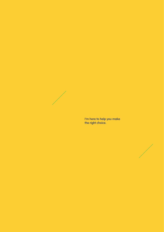

**I'm here to help you make the right choice.**